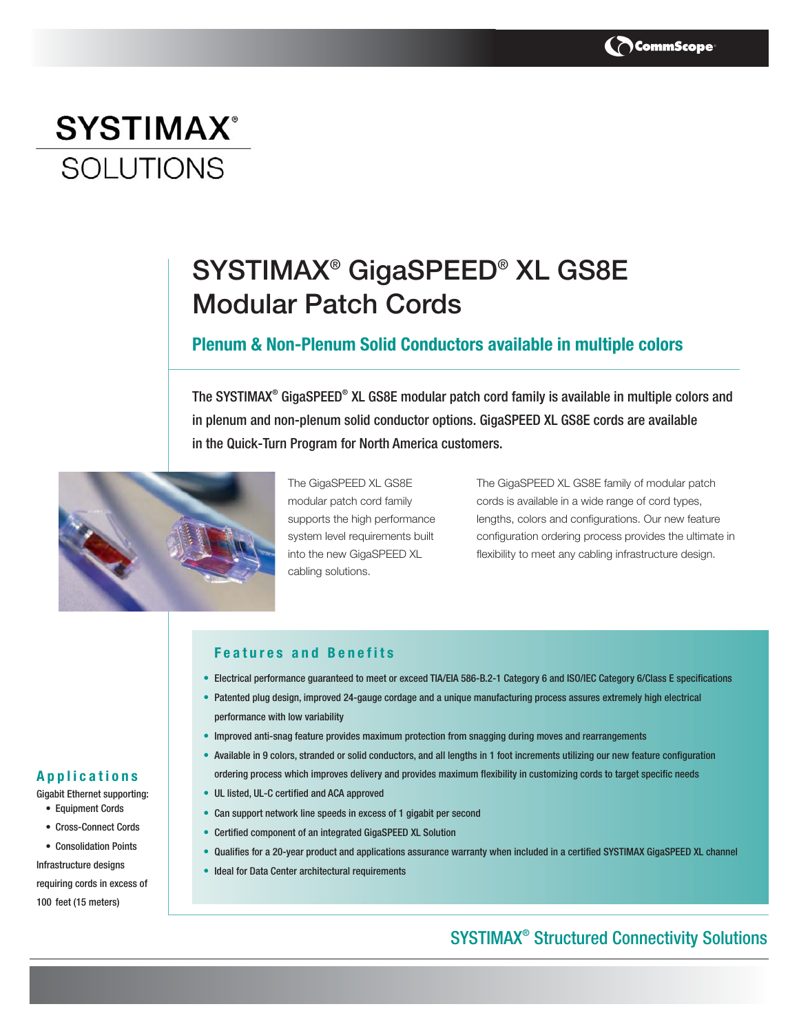

# **SYSTIMAX**<sup>®</sup> **SOLUTIONS**

# SYSTIMAX® GigaSPEED® XL GS8E Modular Patch Cords

### **Plenum & Non-Plenum Solid Conductors available in multiple colors**

The SYSTIMAX® GigaSPEED® XL GS8E modular patch cord family is available in multiple colors and in plenum and non-plenum solid conductor options. GigaSPEED XL GS8E cords are available in the Quick-Turn Program for North America customers.



The GigaSPEED XL GS8E modular patch cord family supports the high performance system level requirements built into the new GigaSPEED XL cabling solutions.

The GigaSPEED XL GS8E family of modular patch cords is available in a wide range of cord types, lengths, colors and configurations. Our new feature configuration ordering process provides the ultimate in flexibility to meet any cabling infrastructure design.

### **Features and Benefits**

- Electrical performance guaranteed to meet or exceed TIA/EIA 586-B.2-1 Category 6 and ISO/IEC Category 6/Class E specifications
- Patented plug design, improved 24-gauge cordage and a unique manufacturing process assures extremely high electrical performance with low variability
- Improved anti-snag feature provides maximum protection from snagging during moves and rearrangements
- Available in 9 colors, stranded or solid conductors, and all lengths in 1 foot increments utilizing our new feature configuration ordering process which improves delivery and provides maximum flexibility in customizing cords to target specific needs
- UL listed, UL-C certified and ACA approved
- Can support network line speeds in excess of 1 gigabit per second
- Certified component of an integrated GigaSPEED XL Solution
- Qualifies for a 20-year product and applications assurance warranty when included in a certified SYSTIMAX GigaSPEED XL channel
- Ideal for Data Center architectural requirements

## SYSTIMAX® Structured Connectivity Solutions

### **Applications**

- Gigabit Ethernet supporting: • Equipment Cords
	- Cross-Connect Cords
	- Consolidation Points

Infrastructure designs requiring cords in excess of 100 feet (15 meters)